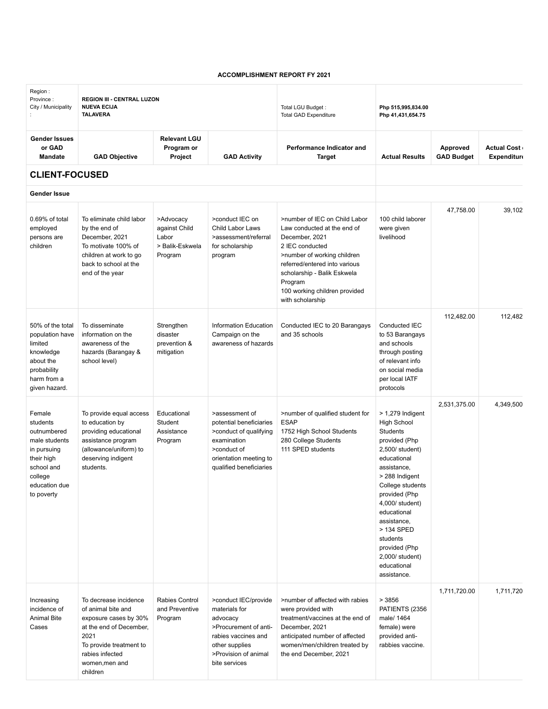## **ACCOMPLISHMENT REPORT FY 2021**

| Region:<br>Province:<br>City / Municipality                                                                                             | <b>REGION III - CENTRAL LUZON</b><br><b>NUEVA ECIJA</b><br><b>TALAVERA</b>                                                                                                          |                                                                   |                                                                                                                                                              | Total LGU Budget:<br><b>Total GAD Expenditure</b>                                                                                                                                                                                                                | Php 515,995,834.00<br>Php 41,431,654.75                                                                                                                                                                                                                                                                                    |                               |                                          |
|-----------------------------------------------------------------------------------------------------------------------------------------|-------------------------------------------------------------------------------------------------------------------------------------------------------------------------------------|-------------------------------------------------------------------|--------------------------------------------------------------------------------------------------------------------------------------------------------------|------------------------------------------------------------------------------------------------------------------------------------------------------------------------------------------------------------------------------------------------------------------|----------------------------------------------------------------------------------------------------------------------------------------------------------------------------------------------------------------------------------------------------------------------------------------------------------------------------|-------------------------------|------------------------------------------|
| <b>Gender Issues</b><br>or GAD<br><b>Mandate</b>                                                                                        | <b>GAD Objective</b>                                                                                                                                                                | <b>Relevant LGU</b><br>Program or<br>Project                      | <b>GAD Activity</b>                                                                                                                                          | Performance Indicator and<br>Target                                                                                                                                                                                                                              | <b>Actual Results</b>                                                                                                                                                                                                                                                                                                      | Approved<br><b>GAD Budget</b> | <b>Actual Cost</b><br><b>Expenditure</b> |
| <b>CLIENT-FOCUSED</b>                                                                                                                   |                                                                                                                                                                                     |                                                                   |                                                                                                                                                              |                                                                                                                                                                                                                                                                  |                                                                                                                                                                                                                                                                                                                            |                               |                                          |
| Gender Issue                                                                                                                            |                                                                                                                                                                                     |                                                                   |                                                                                                                                                              |                                                                                                                                                                                                                                                                  |                                                                                                                                                                                                                                                                                                                            |                               |                                          |
| 0.69% of total<br>employed<br>persons are<br>children                                                                                   | To eliminate child labor<br>by the end of<br>December, 2021<br>To motivate 100% of<br>children at work to go<br>back to school at the<br>end of the year                            | >Advocacy<br>against Child<br>Labor<br>> Balik-Eskwela<br>Program | >conduct IEC on<br>Child Labor Laws<br>>assessment/referral<br>for scholarship<br>program                                                                    | >number of IEC on Child Labor<br>Law conducted at the end of<br>December, 2021<br>2 IEC conducted<br>>number of working children<br>referred/entered into various<br>scholarship - Balik Eskwela<br>Program<br>100 working children provided<br>with scholarship | 100 child laborer<br>were given<br>livelihood                                                                                                                                                                                                                                                                              | 47,758.00                     | 39,102                                   |
| 50% of the total<br>population have<br>limited<br>knowledge<br>about the<br>probability<br>harm from a<br>given hazard.                 | To disseminate<br>information on the<br>awareness of the<br>hazards (Barangay &<br>school level)                                                                                    | Strengthen<br>disaster<br>prevention &<br>mitigation              | Information Education<br>Campaign on the<br>awareness of hazards                                                                                             | Conducted IEC to 20 Barangays<br>and 35 schools                                                                                                                                                                                                                  | Conducted IEC<br>to 53 Barangays<br>and schools<br>through posting<br>of relevant info<br>on social media<br>per local IATF<br>protocols                                                                                                                                                                                   | 112,482.00                    | 112,482                                  |
| Female<br>students<br>outnumbered<br>male students<br>in pursuing<br>their high<br>school and<br>college<br>education due<br>to poverty | To provide equal access<br>to education by<br>providing educational<br>assistance program<br>(allowance/uniform) to<br>deserving indigent<br>students.                              | Educational<br>Student<br>Assistance<br>Program                   | >assessment of<br>potential beneficiaries<br>>conduct of qualifying<br>examination<br>>conduct of<br>orientation meeting to<br>qualified beneficiaries       | >number of qualified student for<br><b>ESAP</b><br>1752 High School Students<br>280 College Students<br>111 SPED students                                                                                                                                        | $>$ 1,279 Indigent<br><b>High School</b><br>Students<br>provided (Php<br>2,500/ student)<br>educational<br>assistance,<br>> 288 Indigent<br>College students<br>provided (Php<br>4,000/ student)<br>educational<br>assistance,<br>> 134 SPED<br>students<br>provided (Php<br>2,000/ student)<br>educational<br>assistance. | 2,531,375.00                  | 4,349,500                                |
| Increasing<br>incidence of<br>Animal Bite<br>Cases                                                                                      | To decrease incidence<br>of animal bite and<br>exposure cases by 30%<br>at the end of December,<br>2021<br>To provide treatment to<br>rabies infected<br>women, men and<br>children | Rabies Control<br>and Preventive<br>Program                       | >conduct IEC/provide<br>materials for<br>advocacy<br>>Procurement of anti-<br>rabies vaccines and<br>other supplies<br>>Provision of animal<br>bite services | >number of affected with rabies<br>were provided with<br>treatment/vaccines at the end of<br>December, 2021<br>anticipated number of affected<br>women/men/children treated by<br>the end December, 2021                                                         | > 3856<br>PATIENTS (2356<br>male/ 1464<br>female) were<br>provided anti-<br>rabbies vaccine.                                                                                                                                                                                                                               | 1,711,720.00                  | 1,711,720                                |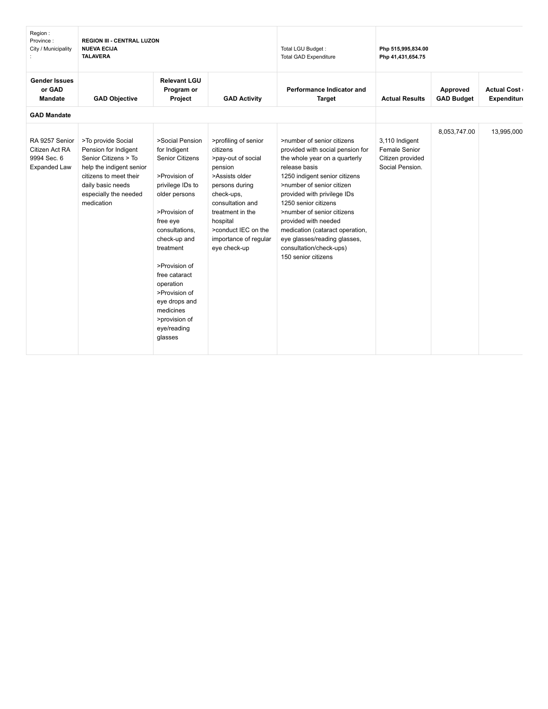| Region:<br>Province:<br>City / Municipality                            | <b>REGION III - CENTRAL LUZON</b><br><b>NUEVA ECIJA</b><br><b>TALAVERA</b>                                                                                                           |                                                                                                                                                                                                                                                                                                                                      | Total LGU Budget:<br><b>Total GAD Expenditure</b>                                                                                                                                                                                       | Php 515,995,834.00<br>Php 41,431,654.75                                                                                                                                                                                                                                                                                                                                                                          |                                                                        |                               |                                          |
|------------------------------------------------------------------------|--------------------------------------------------------------------------------------------------------------------------------------------------------------------------------------|--------------------------------------------------------------------------------------------------------------------------------------------------------------------------------------------------------------------------------------------------------------------------------------------------------------------------------------|-----------------------------------------------------------------------------------------------------------------------------------------------------------------------------------------------------------------------------------------|------------------------------------------------------------------------------------------------------------------------------------------------------------------------------------------------------------------------------------------------------------------------------------------------------------------------------------------------------------------------------------------------------------------|------------------------------------------------------------------------|-------------------------------|------------------------------------------|
| <b>Gender Issues</b><br>or GAD<br>Mandate                              | <b>GAD Objective</b>                                                                                                                                                                 | <b>Relevant LGU</b><br>Program or<br>Project                                                                                                                                                                                                                                                                                         | <b>GAD Activity</b>                                                                                                                                                                                                                     | Performance Indicator and<br><b>Target</b>                                                                                                                                                                                                                                                                                                                                                                       | <b>Actual Results</b>                                                  | Approved<br><b>GAD Budget</b> | <b>Actual Cost</b><br><b>Expenditure</b> |
| <b>GAD Mandate</b>                                                     |                                                                                                                                                                                      |                                                                                                                                                                                                                                                                                                                                      |                                                                                                                                                                                                                                         |                                                                                                                                                                                                                                                                                                                                                                                                                  |                                                                        |                               |                                          |
| RA 9257 Senior<br>Citizen Act RA<br>9994 Sec. 6<br><b>Expanded Law</b> | >To provide Social<br>Pension for Indigent<br>Senior Citizens > To<br>help the indigent senior<br>citizens to meet their<br>daily basic needs<br>especially the needed<br>medication | >Social Pension<br>for Indigent<br><b>Senior Citizens</b><br>>Provision of<br>privilege IDs to<br>older persons<br>>Provision of<br>free eye<br>consultations,<br>check-up and<br>treatment<br>>Provision of<br>free cataract<br>operation<br>>Provision of<br>eye drops and<br>medicines<br>>provision of<br>eye/reading<br>glasses | >profiling of senior<br>citizens<br>>pay-out of social<br>pension<br>>Assists older<br>persons during<br>check-ups,<br>consultation and<br>treatment in the<br>hospital<br>>conduct IEC on the<br>importance of regular<br>eye check-up | >number of senior citizens<br>provided with social pension for<br>the whole year on a quarterly<br>release basis<br>1250 indigent senior citizens<br>>number of senior citizen<br>provided with privilege IDs<br>1250 senior citizens<br>>number of senior citizens<br>provided with needed<br>medication (cataract operation,<br>eye glasses/reading glasses,<br>consultation/check-ups)<br>150 senior citizens | 3,110 Indigent<br>Female Senior<br>Citizen provided<br>Social Pension. | 8,053,747.00                  | 13,995,000                               |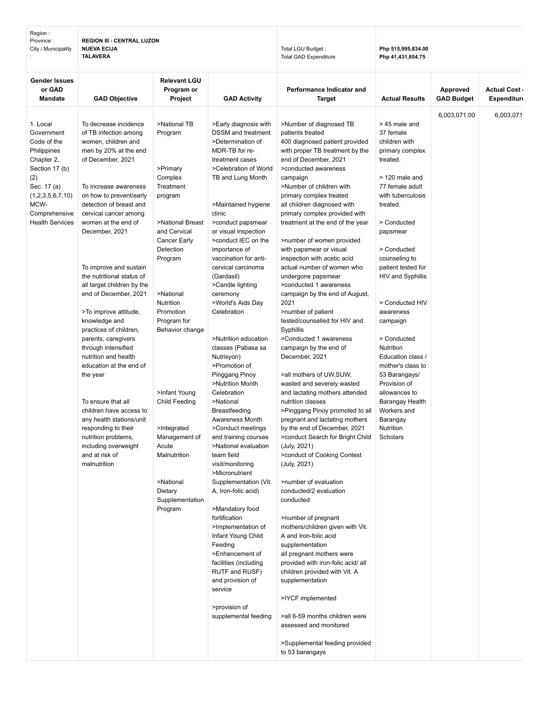| Region:<br>Province:<br>City / Municipality                                                                                                                                       | <b>REGION III - CENTRAL LUZON</b><br><b>NUEVA ECIJA</b><br><b>TALAVERA</b>                                                                                                                                                                                                                                                                                                                                                                                                                                                                                                                                                                                                                                                                               |                                                                                                                                                                                                                                                                                                                                                                              |                                                                                                                                                                                                                                                                                                                                                                                                                                                                                                                                                                                                                                                                                                                                                                                                                                                                                                                                                                                                                | Total LGU Budget:<br><b>Total GAD Expenditure</b>                                                                                                                                                                                                                                                                                                                                                                                                                                                                                                                                                                                                                                                                                                                                                                                                                                                                                                                                                                                                                                                                                                                                                                                                                                                                                                                                                                                                              | Php 515,995,834.00<br>Php 41,431,654.75                                                                                                                                                                                                                                                                                                                                                                                                                                                            |                               |                                          |  |
|-----------------------------------------------------------------------------------------------------------------------------------------------------------------------------------|----------------------------------------------------------------------------------------------------------------------------------------------------------------------------------------------------------------------------------------------------------------------------------------------------------------------------------------------------------------------------------------------------------------------------------------------------------------------------------------------------------------------------------------------------------------------------------------------------------------------------------------------------------------------------------------------------------------------------------------------------------|------------------------------------------------------------------------------------------------------------------------------------------------------------------------------------------------------------------------------------------------------------------------------------------------------------------------------------------------------------------------------|----------------------------------------------------------------------------------------------------------------------------------------------------------------------------------------------------------------------------------------------------------------------------------------------------------------------------------------------------------------------------------------------------------------------------------------------------------------------------------------------------------------------------------------------------------------------------------------------------------------------------------------------------------------------------------------------------------------------------------------------------------------------------------------------------------------------------------------------------------------------------------------------------------------------------------------------------------------------------------------------------------------|----------------------------------------------------------------------------------------------------------------------------------------------------------------------------------------------------------------------------------------------------------------------------------------------------------------------------------------------------------------------------------------------------------------------------------------------------------------------------------------------------------------------------------------------------------------------------------------------------------------------------------------------------------------------------------------------------------------------------------------------------------------------------------------------------------------------------------------------------------------------------------------------------------------------------------------------------------------------------------------------------------------------------------------------------------------------------------------------------------------------------------------------------------------------------------------------------------------------------------------------------------------------------------------------------------------------------------------------------------------------------------------------------------------------------------------------------------------|----------------------------------------------------------------------------------------------------------------------------------------------------------------------------------------------------------------------------------------------------------------------------------------------------------------------------------------------------------------------------------------------------------------------------------------------------------------------------------------------------|-------------------------------|------------------------------------------|--|
| <b>Gender Issues</b><br>or GAD<br>Mandate                                                                                                                                         | <b>GAD Objective</b>                                                                                                                                                                                                                                                                                                                                                                                                                                                                                                                                                                                                                                                                                                                                     | <b>Relevant LGU</b><br>Program or<br>Project                                                                                                                                                                                                                                                                                                                                 | <b>GAD Activity</b>                                                                                                                                                                                                                                                                                                                                                                                                                                                                                                                                                                                                                                                                                                                                                                                                                                                                                                                                                                                            | Performance Indicator and<br>Target                                                                                                                                                                                                                                                                                                                                                                                                                                                                                                                                                                                                                                                                                                                                                                                                                                                                                                                                                                                                                                                                                                                                                                                                                                                                                                                                                                                                                            | <b>Actual Results</b>                                                                                                                                                                                                                                                                                                                                                                                                                                                                              | Approved<br><b>GAD Budget</b> | <b>Actual Cost</b><br><b>Expenditure</b> |  |
| 1. Local<br>Government<br>Code of the<br>Philippines<br>Chapter 2,<br>Section 17 (b)<br>(2)<br>Sec. 17 (a)<br>(1,2,3,5,6,7,10)<br>MCW-<br>Comprehensive<br><b>Health Services</b> | To decrease incidence<br>of TB infection among<br>women, children and<br>men by 20% at the end<br>of December, 2021<br>To increase awareness<br>on how to prevent/early<br>detection of breast and<br>cervical cancer among<br>women at the end of<br>December, 2021<br>To improve and sustain<br>the nutritional status of<br>all target children by the<br>end of December, 2021<br>>To improve attitude,<br>knowledge and<br>practices of children,<br>parents, caregivers<br>through intensified<br>nutrition and health<br>education at the end of<br>the year<br>To ensure that all<br>children have access to<br>any health stations/unit<br>responding to their<br>nutrition problems,<br>including overweight<br>and at risk of<br>malnutrition | >National TB<br>Program<br>>Primary<br>Complex<br>Treatment<br>program<br>>National Breast<br>and Cervical<br>Cancer Early<br>Detection<br>Program<br>>National<br>Nutrition<br>Promotion<br>Program for<br>Behavior change<br>>Infant Young<br>Child Feeding<br>>Integrated<br>Management of<br>Acute<br>Malnutrition<br>>National<br>Dietary<br>Supplementation<br>Program | >Early diagnosis with<br><b>DSSM</b> and treatment<br>>Determination of<br>MDR-TB for re-<br>treatment cases<br>>Celebration of World<br>TB and Lung Month<br>>Maintained hygiene<br>clinic<br>>conduct papsmear<br>or visual inspection<br>>conduct IEC on the<br>importance of<br>vaccination for anti-<br>cervical carcinoma<br>(Gardasil)<br>>Candle lighting<br>ceremony<br>>World's Aids Day<br>Celebration<br>>Nutrition education<br>classes (Pabasa sa<br>Nutrisyon)<br>>Promotion of<br>Pinggang Pinoy<br>>Nutrition Month<br>Celebration<br>>National<br>Breastfeeding<br>Awareness Month<br>>Conduct meetings<br>and training courses<br>>National evaluation<br>team field<br>visit/monitoring<br>>Micronutrient<br>Supplementation (Vit.<br>A, Iron-folic acid)<br>>Mandatory food<br>fortification<br>>Implementation of<br>Infant Young Child<br>Feeding<br>>Enhancement of<br>facilities (including<br>RUTF and RUSF)<br>and provision of<br>service<br>>provision of<br>supplemental feeding | >Number of diagnosed TB<br>patients treated<br>400 diagnosed patient provided<br>with proper TB treatment by the<br>end of December, 2021<br>>conducted awareness<br>campaign<br>>Number of children with<br>primary complex treated<br>all children diagnosed with<br>primary complex provided with<br>treatment at the end of the year<br>>number of women provided<br>with papsmear or visual<br>inspection with acetic acid<br>actual number of women who<br>undergone papsmear<br>>conducted 1 awareness<br>campaign by the end of August,<br>2021<br>>number of patient<br>tested/counselled for HIV and<br>Syphillis<br>>Conducted 1 awareness<br>campaign by the end of<br>December, 2021<br>>all mothers of UW, SUW,<br>wasted and severely wasted<br>and lactating mothers attended<br>nutrition classes<br>>Pinggang Pinoy promoted to all<br>pregnant and lactating mothers<br>by the end of December, 2021<br>>conduct Search for Bright Child<br>(July, 2021)<br>>conduct of Cooking Contest<br>(July, 2021)<br>>number of evaluation<br>conducted/2 evaluation<br>conducted<br>>number of pregnant<br>mothers/children given with Vit.<br>A and Iron-folic acid<br>supplementation<br>all pregnant mothers were<br>provided with iron-folic acid/ all<br>children provided with Vit. A<br>supplementation<br>>IYCF implemented<br>>all 6-59 months children were<br>assessed and monitored<br>>Supplemental feeding provided<br>to 53 barangays | > 45 male and<br>37 female<br>children with<br>primary complex<br>treated.<br>$>120$ male and<br>77 female adult<br>with tuberculosis<br>treated.<br>> Conducted<br>papsmear<br>> Conducted<br>counseling to<br>patient tested for<br>HIV and Syphillis<br>> Conducted HIV<br>awareness<br>campaign<br>> Conducted<br>Nutrition<br>Education class /<br>mother's class to<br>53 Barangays/<br>Provision of<br>allowances to<br>Barangay Health<br>Workers and<br>Barangay<br>Nutrition<br>Scholars | 6,003,071.00                  | 6,003,071                                |  |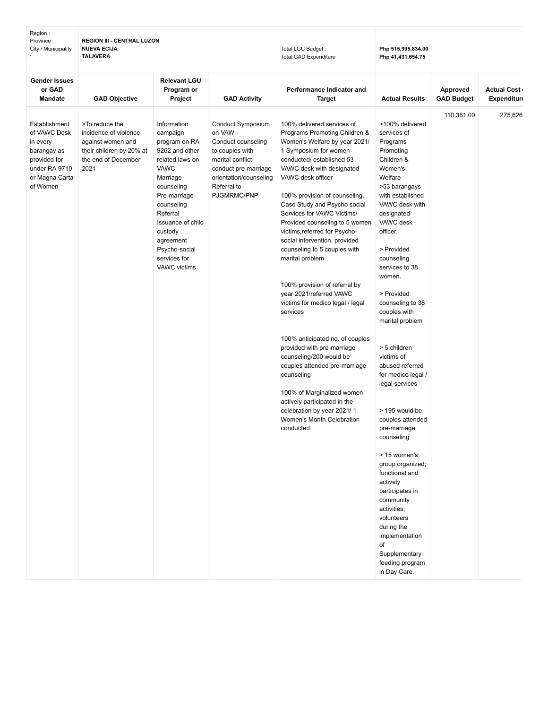| Region:<br>Province:<br>City / Municipality                                                                             | <b>REGION III - CENTRAL LUZON</b><br><b>NUEVA ECIJA</b><br><b>TALAVERA</b>                                              |                                                                                                                                                                                                                                                                |                                                                                                                                                                          | Total LGU Budget:<br>Total GAD Expenditure                                                                                                                                                                                                                                                                                                                                                                                                                                                                                                                                                                                                                                                                                                                                                                                                             | Php 515,995,834.00<br>Php 41,431,654.75                                                                                                                                                                                                                                                                                                                                                                                                                                                                                                                                                                                                                                                                      |                               |                                   |
|-------------------------------------------------------------------------------------------------------------------------|-------------------------------------------------------------------------------------------------------------------------|----------------------------------------------------------------------------------------------------------------------------------------------------------------------------------------------------------------------------------------------------------------|--------------------------------------------------------------------------------------------------------------------------------------------------------------------------|--------------------------------------------------------------------------------------------------------------------------------------------------------------------------------------------------------------------------------------------------------------------------------------------------------------------------------------------------------------------------------------------------------------------------------------------------------------------------------------------------------------------------------------------------------------------------------------------------------------------------------------------------------------------------------------------------------------------------------------------------------------------------------------------------------------------------------------------------------|--------------------------------------------------------------------------------------------------------------------------------------------------------------------------------------------------------------------------------------------------------------------------------------------------------------------------------------------------------------------------------------------------------------------------------------------------------------------------------------------------------------------------------------------------------------------------------------------------------------------------------------------------------------------------------------------------------------|-------------------------------|-----------------------------------|
| <b>Gender Issues</b><br>or GAD<br><b>Mandate</b>                                                                        | <b>GAD Objective</b>                                                                                                    | <b>Relevant LGU</b><br>Program or<br>Project                                                                                                                                                                                                                   | <b>GAD Activity</b>                                                                                                                                                      | Performance Indicator and<br><b>Target</b>                                                                                                                                                                                                                                                                                                                                                                                                                                                                                                                                                                                                                                                                                                                                                                                                             | <b>Actual Results</b>                                                                                                                                                                                                                                                                                                                                                                                                                                                                                                                                                                                                                                                                                        | Approved<br><b>GAD Budget</b> | <b>Actual Cost</b><br>Expenditure |
| Establishment<br>of VAWC Desk<br>in every<br>barangay as<br>provided for<br>under RA 9710<br>or Magna Carta<br>of Women | >To reduce the<br>incidence of violence<br>against women and<br>their children by 20% at<br>the end of December<br>2021 | Information<br>campaign<br>program on RA<br>9262 and other<br>related laws on<br>VAWC<br>Marriage<br>counseling<br>Pre-marriage<br>counseling<br>Referral<br>Issuance of child<br>custody<br>agreement<br>Psycho-social<br>services for<br><b>VAWC</b> victims | Conduct Symposium<br>on VAW<br>Conduct counseling<br>to couples with<br>marital conflict<br>conduct pre-marriage<br>orientation/counseling<br>Referral to<br>PJGMRMC/PNP | 100% delivered services of<br>Programs Promoting Children &<br>Women's Welfare by year 2021/<br>1 Symposium for women<br>conducted/established 53<br>VAWC desk with designated<br>VAWC desk officer<br>100% provision of counseling,<br>Case Study and Psycho social<br>Services for VAWC Victims/<br>Provided counseling to 5 women<br>victims, referred for Psycho-<br>social intervention, provided<br>counseling to 5 couples with<br>marital problem<br>100% provision of referral by<br>year 2021/referred VAWC<br>victims for medico legal / legal<br>services<br>100% anticipated no. of couples<br>provided with pre-marriage<br>counseling/200 would be<br>couples attended pre-marriage<br>counseling<br>100% of Marginalized women<br>actively participated in the<br>celebration by year 2021/1<br>Women's Month Celebration<br>conducted | >100% delivered<br>services of<br>Programs<br>Promoting<br>Children &<br>Women's<br>Welfare<br>>53 barangays<br>with established<br>VAWC desk with<br>designated<br>VAWC desk<br>officer.<br>> Provided<br>counseling<br>services to 38<br>women.<br>> Provided<br>counseling to 38<br>couples with<br>marital problem<br>> 5 children<br>victims of<br>abused referred<br>for medico legal /<br>legal services<br>> 195 would be<br>couples attended<br>pre-marriage<br>counseling<br>> 15 women's<br>group organized;<br>functional and<br>actively<br>participates in<br>community<br>activities;<br>volunteers<br>during the<br>implementation<br>of<br>Supplementary<br>feeding program<br>in Day Care. | 110,361.00                    | 275,626                           |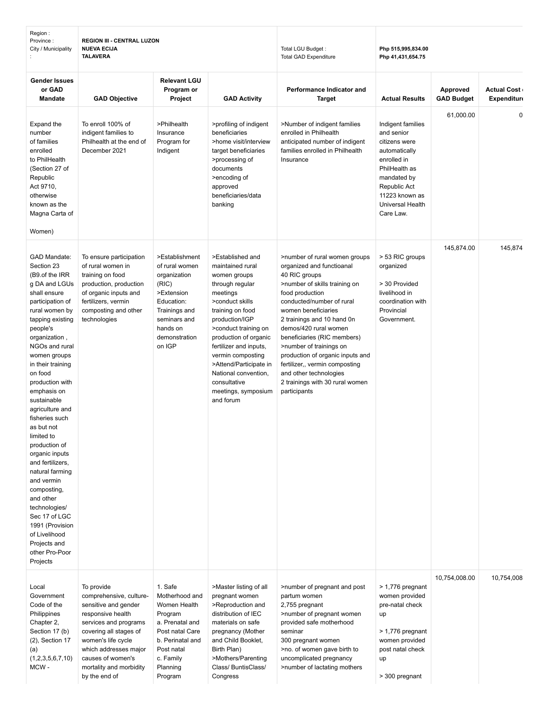| Region :<br>Province:<br>City / Municipality                                                                                                                                                                                                                                                                                                                                                                                                                                                                                                                                                            | <b>REGION III - CENTRAL LUZON</b><br><b>NUEVA ECIJA</b><br><b>TALAVERA</b>                                                                                                                                                                            |                                                                                                                                                                  | Total LGU Budget:<br><b>Total GAD Expenditure</b>                                                                                                                                                                                                                                                                                                  | Php 515,995,834.00<br>Php 41,431,654.75                                                                                                                                                                                                                                                                                                                                                                                                                 |                                                                                                                                                                                     |                               |                                          |
|---------------------------------------------------------------------------------------------------------------------------------------------------------------------------------------------------------------------------------------------------------------------------------------------------------------------------------------------------------------------------------------------------------------------------------------------------------------------------------------------------------------------------------------------------------------------------------------------------------|-------------------------------------------------------------------------------------------------------------------------------------------------------------------------------------------------------------------------------------------------------|------------------------------------------------------------------------------------------------------------------------------------------------------------------|----------------------------------------------------------------------------------------------------------------------------------------------------------------------------------------------------------------------------------------------------------------------------------------------------------------------------------------------------|---------------------------------------------------------------------------------------------------------------------------------------------------------------------------------------------------------------------------------------------------------------------------------------------------------------------------------------------------------------------------------------------------------------------------------------------------------|-------------------------------------------------------------------------------------------------------------------------------------------------------------------------------------|-------------------------------|------------------------------------------|
| <b>Gender Issues</b><br>or GAD<br><b>Mandate</b>                                                                                                                                                                                                                                                                                                                                                                                                                                                                                                                                                        | <b>GAD Objective</b>                                                                                                                                                                                                                                  | <b>Relevant LGU</b><br>Program or<br>Project                                                                                                                     | <b>GAD Activity</b>                                                                                                                                                                                                                                                                                                                                | Performance Indicator and<br><b>Target</b>                                                                                                                                                                                                                                                                                                                                                                                                              | <b>Actual Results</b>                                                                                                                                                               | Approved<br><b>GAD Budget</b> | <b>Actual Cost</b><br><b>Expenditure</b> |
| Expand the<br>number<br>of families<br>enrolled<br>to PhilHealth<br>(Section 27 of<br>Republic<br>Act 9710,<br>otherwise<br>known as the<br>Magna Carta of<br>Women)                                                                                                                                                                                                                                                                                                                                                                                                                                    | To enroll 100% of<br>indigent families to<br>Philhealth at the end of<br>December 2021                                                                                                                                                                | >Philhealth<br>Insurance<br>Program for<br>Indigent                                                                                                              | >profiling of indigent<br>beneficiaries<br>>home visit/interview<br>target beneficiaries<br>>processing of<br>documents<br>>encoding of<br>approved<br>beneficiaries/data<br>banking                                                                                                                                                               | >Number of indigent families<br>enrolled in Philhealth<br>anticipated number of indigent<br>families enrolled in Philhealth<br>Insurance                                                                                                                                                                                                                                                                                                                | Indigent families<br>and senior<br>citizens were<br>automatically<br>enrolled in<br>PhilHealth as<br>mandated by<br>Republic Act<br>11223 known as<br>Universal Health<br>Care Law. | 61,000.00                     | $\mathbf 0$                              |
| <b>GAD Mandate:</b><br>Section 23<br>(B9.of the IRR<br>g DA and LGUs<br>shall ensure<br>participation of<br>rural women by<br>tapping existing<br>people's<br>organization,<br>NGOs and rural<br>women groups<br>in their training<br>on food<br>production with<br>emphasis on<br>sustainable<br>agriculture and<br>fisheries such<br>as but not<br>limited to<br>production of<br>organic inputs<br>and fertilizers,<br>natural farming<br>and vermin<br>composting,<br>and other<br>technologies/<br>Sec 17 of LGC<br>1991 (Provision<br>of Livelihood<br>Projects and<br>other Pro-Poor<br>Projects | To ensure participation<br>of rural women in<br>training on food<br>production, production<br>of organic inputs and<br>fertilizers, vermin<br>composting and other<br>technologies                                                                    | >Establishment<br>of rural women<br>organization<br>(RIC)<br>>Extension<br>Education:<br>Trainings and<br>seminars and<br>hands on<br>demonstration<br>on IGP    | >Established and<br>maintained rural<br>women groups<br>through regular<br>meetings<br>>conduct skills<br>training on food<br>production/IGP<br>>conduct training on<br>production of organic<br>fertilizer and inputs,<br>vermin composting<br>>Attend/Participate in<br>National convention,<br>consultative<br>meetings, symposium<br>and forum | >number of rural women groups<br>organized and functioanal<br>40 RIC groups<br>>number of skills training on<br>food production<br>conducted/number of rural<br>women beneficiaries<br>2 trainings and 10 hand 0n<br>demos/420 rural women<br>beneficiaries (RIC members)<br>>number of trainings on<br>production of organic inputs and<br>fertilizer,, vermin composting<br>and other technologies<br>2 trainings with 30 rural women<br>participants | > 53 RIC groups<br>organized<br>> 30 Provided<br>livelihood in<br>coordination with<br>Provincial<br>Government.                                                                    | 145,874.00                    | 145,874                                  |
| Local<br>Government<br>Code of the<br>Philippines<br>Chapter 2,<br>Section 17 (b)<br>$(2)$ , Section 17<br>(a)<br>(1,2,3,5,6,7,10)<br>MCW-                                                                                                                                                                                                                                                                                                                                                                                                                                                              | To provide<br>comprehensive, culture-<br>sensitive and gender<br>responsive health<br>services and programs<br>covering all stages of<br>women's life cycle<br>which addresses major<br>causes of women's<br>mortality and morbidity<br>by the end of | 1. Safe<br>Motherhood and<br>Women Health<br>Program<br>a. Prenatal and<br>Post natal Care<br>b. Perinatal and<br>Post natal<br>c. Family<br>Planning<br>Program | >Master listing of all<br>pregnant women<br>>Reproduction and<br>distribution of IEC<br>materials on safe<br>pregnancy (Mother<br>and Child Booklet,<br>Birth Plan)<br>>Mothers/Parenting<br>Class/ BuntisClass/<br>Congress                                                                                                                       | >number of pregnant and post<br>partum women<br>2,755 pregnant<br>>number of pregnant women<br>provided safe motherhood<br>seminar<br>300 pregnant women<br>>no. of women gave birth to<br>uncomplicated pregnancy<br>>number of lactating mothers                                                                                                                                                                                                      | > 1,776 pregnant<br>women provided<br>pre-natal check<br>up<br>> 1,776 pregnant<br>women provided<br>post natal check<br>up<br>> 300 pregnant                                       | 10,754,008.00                 | 10,754,008                               |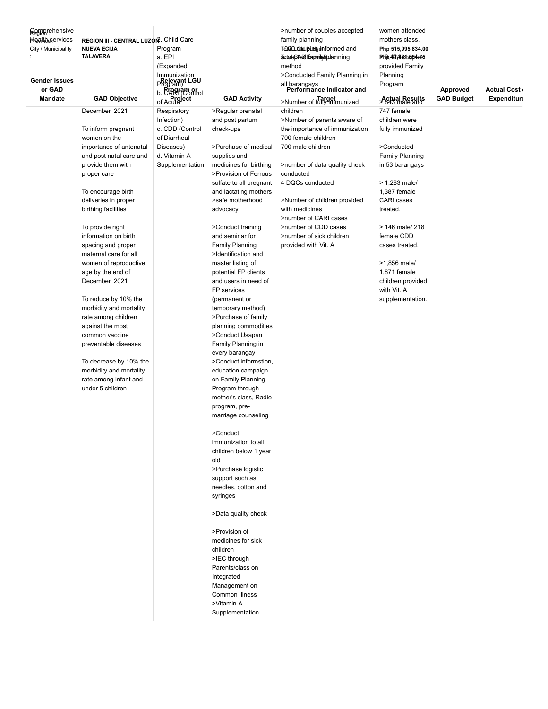| Comprehensive          |                                                      |                                                 |                                              | >number of couples accepted                             | women attended                         |                   |                    |
|------------------------|------------------------------------------------------|-------------------------------------------------|----------------------------------------------|---------------------------------------------------------|----------------------------------------|-------------------|--------------------|
| <b>Health</b> services | REGION III - CENTRAL LUZON <sup>2</sup> . Child Care |                                                 |                                              | family planning                                         | mothers class.                         |                   |                    |
| City / Municipality    | <b>NUEVA ECIJA</b><br><b>TALAVERA</b>                | Program<br>a. EPI                               |                                              | 1000 Couples informed and<br>arcoboted Eapeindiplemning | Php 515,995,834.00<br>PID,42,430654e35 |                   |                    |
|                        |                                                      | (Expanded                                       |                                              | method                                                  | provided Family                        |                   |                    |
|                        |                                                      |                                                 |                                              | >Conducted Family Planning in                           | Planning                               |                   |                    |
| <b>Gender Issues</b>   |                                                      | Immunization<br><b>Relevant LGU</b><br>Program) |                                              |                                                         | Program                                |                   |                    |
| or GAD                 |                                                      | b. Prográm or<br>b. CARI (Control<br>of Acute   |                                              | all barangays<br>Performance Indicator and              |                                        | Approved          | <b>Actual Cost</b> |
| <b>Mandate</b>         | <b>GAD Objective</b>                                 |                                                 | <b>GAD Activity</b>                          | >Number of fully immunized                              | <b>Actual Results</b>                  | <b>GAD Budget</b> | <b>Expenditure</b> |
|                        | December, 2021                                       | Respiratory                                     | >Regular prenatal                            | children                                                | 747 female                             |                   |                    |
|                        |                                                      | Infection)                                      | and post partum                              | >Number of parents aware of                             | children were                          |                   |                    |
|                        | To inform pregnant                                   | c. CDD (Control                                 | check-ups                                    | the importance of immunization                          | fully immunized                        |                   |                    |
|                        | women on the                                         | of Diarrheal                                    |                                              | 700 female children                                     |                                        |                   |                    |
|                        | importance of antenatal                              | Diseases)                                       | >Purchase of medical                         | 700 male children                                       | >Conducted                             |                   |                    |
|                        | and post natal care and                              | d. Vitamin A                                    | supplies and<br>medicines for birthing       |                                                         | <b>Family Planning</b>                 |                   |                    |
|                        | provide them with<br>proper care                     | Supplementation                                 | >Provision of Ferrous                        | >number of data quality check<br>conducted              | in 53 barangays                        |                   |                    |
|                        |                                                      |                                                 | sulfate to all pregnant                      | 4 DQCs conducted                                        | $> 1,283$ male/                        |                   |                    |
|                        | To encourage birth                                   |                                                 | and lactating mothers                        |                                                         | 1,387 female                           |                   |                    |
|                        | deliveries in proper                                 |                                                 | >safe motherhood                             | >Number of children provided                            | CARI cases                             |                   |                    |
|                        | birthing facilities                                  |                                                 | advocacy                                     | with medicines                                          | treated.                               |                   |                    |
|                        |                                                      |                                                 |                                              | >number of CARI cases                                   |                                        |                   |                    |
|                        | To provide right                                     |                                                 | >Conduct training                            | >number of CDD cases                                    | > 146 male/ 218                        |                   |                    |
|                        | information on birth                                 |                                                 | and seminar for                              | >number of sick children                                | female CDD                             |                   |                    |
|                        | spacing and proper                                   |                                                 | <b>Family Planning</b>                       | provided with Vit. A                                    | cases treated.                         |                   |                    |
|                        | maternal care for all<br>women of reproductive       |                                                 | >Identification and<br>master listing of     |                                                         | >1,856 male/                           |                   |                    |
|                        | age by the end of                                    |                                                 | potential FP clients                         |                                                         | 1,871 female                           |                   |                    |
|                        | December, 2021                                       |                                                 | and users in need of                         |                                                         | children provided                      |                   |                    |
|                        |                                                      |                                                 | FP services                                  |                                                         | with Vit. A                            |                   |                    |
|                        | To reduce by 10% the                                 |                                                 | (permanent or                                |                                                         | supplementation.                       |                   |                    |
|                        | morbidity and mortality                              |                                                 | temporary method)                            |                                                         |                                        |                   |                    |
|                        | rate among children                                  |                                                 | >Purchase of family                          |                                                         |                                        |                   |                    |
|                        | against the most                                     |                                                 | planning commodities                         |                                                         |                                        |                   |                    |
|                        | common vaccine                                       |                                                 | >Conduct Usapan                              |                                                         |                                        |                   |                    |
|                        | preventable diseases                                 |                                                 | Family Planning in                           |                                                         |                                        |                   |                    |
|                        | To decrease by 10% the                               |                                                 | every barangay<br>>Conduct informstion,      |                                                         |                                        |                   |                    |
|                        | morbidity and mortality                              |                                                 | education campaign                           |                                                         |                                        |                   |                    |
|                        | rate among infant and                                |                                                 | on Family Planning                           |                                                         |                                        |                   |                    |
|                        | under 5 children                                     |                                                 | Program through                              |                                                         |                                        |                   |                    |
|                        |                                                      |                                                 | mother's class, Radio                        |                                                         |                                        |                   |                    |
|                        |                                                      |                                                 | program, pre-                                |                                                         |                                        |                   |                    |
|                        |                                                      |                                                 | marriage counseling                          |                                                         |                                        |                   |                    |
|                        |                                                      |                                                 |                                              |                                                         |                                        |                   |                    |
|                        |                                                      |                                                 | >Conduct                                     |                                                         |                                        |                   |                    |
|                        |                                                      |                                                 | immunization to all<br>children below 1 year |                                                         |                                        |                   |                    |
|                        |                                                      |                                                 | old                                          |                                                         |                                        |                   |                    |
|                        |                                                      |                                                 | >Purchase logistic                           |                                                         |                                        |                   |                    |
|                        |                                                      |                                                 | support such as                              |                                                         |                                        |                   |                    |
|                        |                                                      |                                                 | needles, cotton and                          |                                                         |                                        |                   |                    |
|                        |                                                      |                                                 | syringes                                     |                                                         |                                        |                   |                    |
|                        |                                                      |                                                 |                                              |                                                         |                                        |                   |                    |
|                        |                                                      |                                                 | >Data quality check                          |                                                         |                                        |                   |                    |
|                        |                                                      |                                                 | >Provision of                                |                                                         |                                        |                   |                    |
|                        |                                                      |                                                 | medicines for sick                           |                                                         |                                        |                   |                    |
|                        |                                                      |                                                 | children                                     |                                                         |                                        |                   |                    |
|                        |                                                      |                                                 | >IEC through                                 |                                                         |                                        |                   |                    |
|                        |                                                      |                                                 | Parents/class on                             |                                                         |                                        |                   |                    |
|                        |                                                      |                                                 | Integrated                                   |                                                         |                                        |                   |                    |
|                        |                                                      |                                                 | Management on                                |                                                         |                                        |                   |                    |
|                        |                                                      |                                                 | Common Illness                               |                                                         |                                        |                   |                    |
|                        |                                                      |                                                 | >Vitamin A<br>Supplementation                |                                                         |                                        |                   |                    |
|                        |                                                      |                                                 |                                              |                                                         |                                        |                   |                    |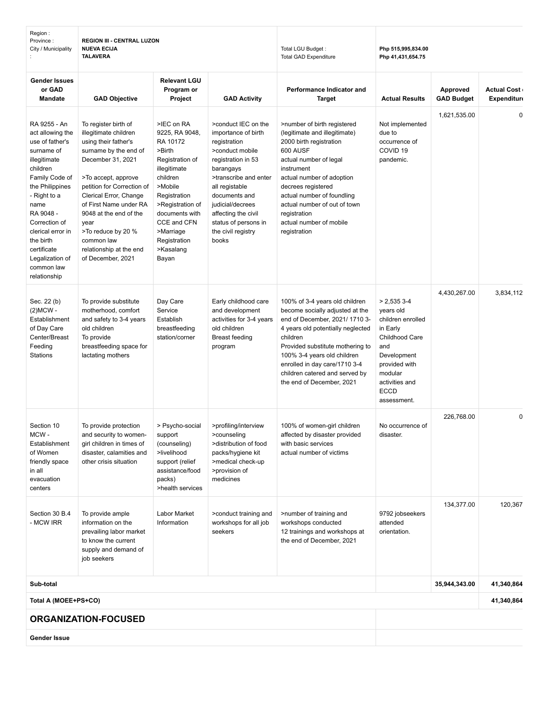| Region:<br>Province:<br>City / Municipality                                                                                                                                                                                                                                                | <b>REGION III - CENTRAL LUZON</b><br><b>NUEVA ECIJA</b><br><b>TALAVERA</b>                                                                                                                                                                                                                                                                         |                                                                                                                                                                                                                                      | Total LGU Budget:<br><b>Total GAD Expenditure</b>                                                                                                                                                                                                                              | Php 515,995,834.00<br>Php 41,431,654.75                                                                                                                                                                                                                                                                                 |                                                                                                                                                                                |                               |                                          |
|--------------------------------------------------------------------------------------------------------------------------------------------------------------------------------------------------------------------------------------------------------------------------------------------|----------------------------------------------------------------------------------------------------------------------------------------------------------------------------------------------------------------------------------------------------------------------------------------------------------------------------------------------------|--------------------------------------------------------------------------------------------------------------------------------------------------------------------------------------------------------------------------------------|--------------------------------------------------------------------------------------------------------------------------------------------------------------------------------------------------------------------------------------------------------------------------------|-------------------------------------------------------------------------------------------------------------------------------------------------------------------------------------------------------------------------------------------------------------------------------------------------------------------------|--------------------------------------------------------------------------------------------------------------------------------------------------------------------------------|-------------------------------|------------------------------------------|
| <b>Gender Issues</b><br>or GAD<br><b>Mandate</b>                                                                                                                                                                                                                                           | <b>GAD Objective</b>                                                                                                                                                                                                                                                                                                                               | <b>Relevant LGU</b><br>Program or<br>Project                                                                                                                                                                                         | <b>GAD Activity</b>                                                                                                                                                                                                                                                            | Performance Indicator and<br><b>Target</b>                                                                                                                                                                                                                                                                              | <b>Actual Results</b>                                                                                                                                                          | Approved<br><b>GAD Budget</b> | <b>Actual Cost</b><br><b>Expenditure</b> |
| RA 9255 - An<br>act allowing the<br>use of father's<br>surname of<br>illegitimate<br>children<br>Family Code of<br>the Philippines<br>- Right to a<br>name<br>RA 9048 -<br>Correction of<br>clerical error in<br>the birth<br>certificate<br>Legalization of<br>common law<br>relationship | To register birth of<br>illegitimate children<br>using their father's<br>surname by the end of<br>December 31, 2021<br>>To accept, approve<br>petition for Correction of<br>Clerical Error, Change<br>of First Name under RA<br>9048 at the end of the<br>year<br>>To reduce by 20 %<br>common law<br>relationship at the end<br>of December, 2021 | >IEC on RA<br>9225, RA 9048,<br>RA 10172<br>>Birth<br>Registration of<br>illegitimate<br>children<br>>Mobile<br>Registration<br>>Registration of<br>documents with<br>CCE and CFN<br>>Marriage<br>Registration<br>>Kasalang<br>Bayan | >conduct IEC on the<br>importance of birth<br>registration<br>>conduct mobile<br>registration in 53<br>barangays<br>>transcribe and enter<br>all registable<br>documents and<br>judicial/decrees<br>affecting the civil<br>status of persons in<br>the civil registry<br>books | >number of birth registered<br>(legitimate and illegitimate)<br>2000 birth registration<br>600 AUSF<br>actual number of legal<br>instrument<br>actual number of adoption<br>decrees registered<br>actual number of foundling<br>actual number of out of town<br>registration<br>actual number of mobile<br>registration | Not implemented<br>due to<br>occurrence of<br>COVID <sub>19</sub><br>pandemic.                                                                                                 | 1,621,535.00                  | $\mathbf 0$                              |
| Sec. 22 (b)<br>$(2)MCW -$<br>Establishment<br>of Day Care<br>Center/Breast<br>Feeding<br><b>Stations</b>                                                                                                                                                                                   | To provide substitute<br>motherhood, comfort<br>and safety to 3-4 years<br>old children<br>To provide<br>breastfeeding space for<br>lactating mothers                                                                                                                                                                                              | Day Care<br>Service<br>Establish<br>breastfeeding<br>station/corner                                                                                                                                                                  | Early childhood care<br>and development<br>activities for 3-4 years<br>old children<br><b>Breast feeding</b><br>program                                                                                                                                                        | 100% of 3-4 years old children<br>become socially adjusted at the<br>end of December, 2021/17103-<br>4 years old potentially neglected<br>children<br>Provided substitute mothering to<br>100% 3-4 years old children<br>enrolled in day care/1710 3-4<br>children catered and served by<br>the end of December, 2021   | $> 2,5353-4$<br>years old<br>children enrolled<br>in Early<br>Childhood Care<br>and<br>Development<br>provided with<br>modular<br>activities and<br><b>ECCD</b><br>assessment. | 4,430,267.00                  | 3,834,112                                |
| Section 10<br>MCW-<br>Establishment<br>of Women<br>friendly space<br>in all<br>evacuation<br>centers                                                                                                                                                                                       | To provide protection<br>and security to women-<br>girl children in times of<br>disaster, calamities and<br>other crisis situation                                                                                                                                                                                                                 | > Psycho-social<br>support<br>(counseling)<br>>livelihood<br>support (relief<br>assistance/food<br>packs)<br>>health services                                                                                                        | >profiling/interview<br>>counseling<br>>distribution of food<br>packs/hygiene kit<br>>medical check-up<br>>provision of<br>medicines                                                                                                                                           | 100% of women-girl children<br>affected by disaster provided<br>with basic services<br>actual number of victims                                                                                                                                                                                                         | No occurrence of<br>disaster.                                                                                                                                                  | 226,768.00                    | $\mathbf 0$                              |
| Section 30 B.4<br>- MCW IRR                                                                                                                                                                                                                                                                | To provide ample<br>information on the<br>prevailing labor market<br>to know the current<br>supply and demand of<br>job seekers                                                                                                                                                                                                                    | Labor Market<br>Information                                                                                                                                                                                                          | >conduct training and<br>workshops for all job<br>seekers                                                                                                                                                                                                                      | >number of training and<br>workshops conducted<br>12 trainings and workshops at<br>the end of December, 2021                                                                                                                                                                                                            | 9792 jobseekers<br>attended<br>orientation.                                                                                                                                    | 134,377.00                    | 120,367                                  |
| Sub-total                                                                                                                                                                                                                                                                                  |                                                                                                                                                                                                                                                                                                                                                    |                                                                                                                                                                                                                                      |                                                                                                                                                                                                                                                                                |                                                                                                                                                                                                                                                                                                                         |                                                                                                                                                                                | 35,944,343.00                 | 41,340,864                               |
| Total A (MOEE+PS+CO)                                                                                                                                                                                                                                                                       |                                                                                                                                                                                                                                                                                                                                                    |                                                                                                                                                                                                                                      |                                                                                                                                                                                                                                                                                |                                                                                                                                                                                                                                                                                                                         |                                                                                                                                                                                |                               | 41,340,864                               |
|                                                                                                                                                                                                                                                                                            | <b>ORGANIZATION-FOCUSED</b>                                                                                                                                                                                                                                                                                                                        |                                                                                                                                                                                                                                      |                                                                                                                                                                                                                                                                                |                                                                                                                                                                                                                                                                                                                         |                                                                                                                                                                                |                               |                                          |
| Gender Issue                                                                                                                                                                                                                                                                               |                                                                                                                                                                                                                                                                                                                                                    |                                                                                                                                                                                                                                      |                                                                                                                                                                                                                                                                                |                                                                                                                                                                                                                                                                                                                         |                                                                                                                                                                                |                               |                                          |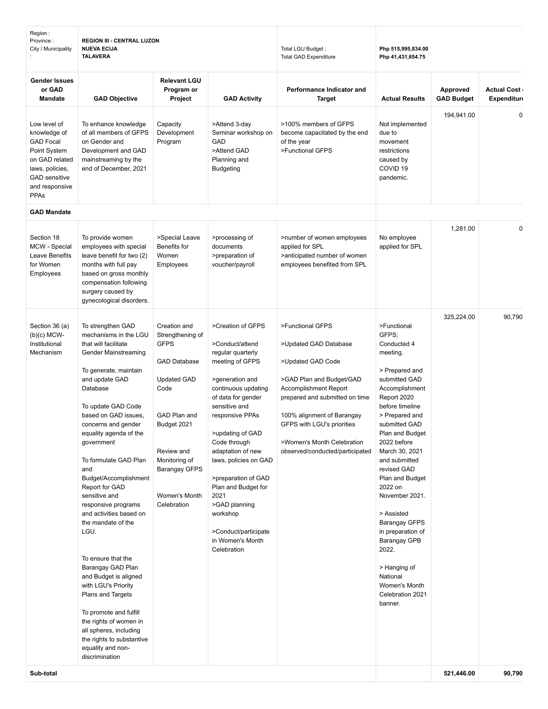| <b>Gender Issues</b><br><b>Relevant LGU</b><br>or GAD<br>Performance Indicator and<br>Approved<br><b>Actual Cost</b><br>Program or<br><b>GAD Budget</b><br><b>Expenditure</b><br><b>Mandate</b><br><b>GAD Objective</b><br>Project<br><b>GAD Activity</b><br><b>Target</b><br><b>Actual Results</b><br>194,941.00<br>$\mathbf 0$<br>>100% members of GFPS<br>Low level of<br>To enhance knowledge<br>Capacity<br>>Attend 3-day<br>Not implemented<br>knowledge of<br>of all members of GFPS<br>Development<br>Seminar workshop on<br>become capacitated by the end<br>due to<br><b>GAD Focal</b><br><b>GAD</b><br>on Gender and<br>Program<br>of the year<br>movement<br>>Attend GAD<br>>Functional GFPS<br>Point System<br>Development and GAD<br>restrictions<br>on GAD related<br>mainstreaming by the<br>Planning and<br>caused by<br>COVID <sub>19</sub><br>end of December, 2021<br>laws, policies,<br><b>Budgeting</b><br><b>GAD</b> sensitive<br>pandemic.<br>and responsive<br><b>PPAs</b><br><b>GAD Mandate</b><br>1,281.00<br>$\mathbf 0$<br>Section 18<br>To provide women<br>>Special Leave<br>>processing of<br>>number of women employees<br>No employee<br>MCW - Special<br>Benefits for<br>applied for SPL<br>employees with special<br>documents<br>applied for SPL<br>Leave Benefits<br>leave benefit for two (2)<br>Women<br>>preparation of<br>>anticipated number of women<br>for Women<br>months with full pay<br>voucher/payroll<br>employees benefited from SPL<br>Employees<br>based on gross monthly<br>Employees<br>compensation following<br>surgery caused by<br>gynecological disorders.<br>325,224.00<br>90,790<br>Section 36 (a)<br>To strengthen GAD<br>Creation and<br>>Creation of GFPS<br>>Functional GFPS<br>>Functional<br>$(b)(c)$ MCW-<br>mechanisms in the LGU<br>GFPS:<br>Strengthening of<br><b>GFPS</b><br>Conducted 4<br>Institutional<br>that will facilitate<br>>Conduct/attend<br>>Updated GAD Database<br>Mechanism<br>Gender Mainstreaming<br>meeting.<br>regular quarterly<br><b>GAD Database</b><br>meeting of GFPS<br>>Updated GAD Code<br>To generate, maintain<br>> Prepared and<br>>GAD Plan and Budget/GAD<br>submitted GAD<br>and update GAD<br><b>Updated GAD</b><br>>generation and<br>Database<br>Code<br>continuous updating<br><b>Accomplishment Report</b><br>Accomplishment<br>of data for gender<br>prepared and submitted on time<br>Report 2020<br>sensitive and<br>To update GAD Code<br>before timeline<br>based on GAD issues,<br>GAD Plan and<br>responsive PPAs<br>> Prepared and<br>100% alignment of Barangay<br>Budget 2021<br>GFPS with LGU's priorities<br>submitted GAD<br>concerns and gender<br>>updating of GAD<br>Plan and Budget<br>equality agenda of the<br>Code through<br>>Women's Month Celebration<br>2022 before<br>government<br>Review and<br>adaptation of new<br>observed/conducted/participated<br>March 30, 2021<br>Monitoring of<br>To formulate GAD Plan<br>laws, policies on GAD<br>and submitted<br>and<br><b>Barangay GFPS</b><br>revised GAD<br>Budget/Accomplishment<br>>preparation of GAD<br>Plan and Budget<br>Report for GAD<br>Plan and Budget for<br>2022 on<br>sensitive and<br>Women's Month<br>2021<br>November 2021.<br>>GAD planning<br>responsive programs<br>Celebration<br>and activities based on<br>workshop<br>> Assisted<br>the mandate of the<br><b>Barangay GFPS</b><br>LGU.<br>>Conduct/participate<br>in preparation of<br>in Women's Month<br><b>Barangay GPB</b><br>Celebration<br>2022.<br>To ensure that the<br>Barangay GAD Plan<br>> Hanging of<br>National<br>and Budget is aligned<br>with LGU's Priority<br>Women's Month<br>Celebration 2021<br>Plans and Targets<br>banner.<br>To promote and fulfill<br>the rights of women in<br>all spheres, including<br>the rights to substantive<br>equality and non-<br>discrimination | Region:<br>Province:<br>City / Municipality | <b>REGION III - CENTRAL LUZON</b><br><b>NUEVA ECIJA</b><br><b>TALAVERA</b> |  | Total LGU Budget:<br><b>Total GAD Expenditure</b> | Php 515,995,834.00<br>Php 41,431,654.75 |            |        |
|-------------------------------------------------------------------------------------------------------------------------------------------------------------------------------------------------------------------------------------------------------------------------------------------------------------------------------------------------------------------------------------------------------------------------------------------------------------------------------------------------------------------------------------------------------------------------------------------------------------------------------------------------------------------------------------------------------------------------------------------------------------------------------------------------------------------------------------------------------------------------------------------------------------------------------------------------------------------------------------------------------------------------------------------------------------------------------------------------------------------------------------------------------------------------------------------------------------------------------------------------------------------------------------------------------------------------------------------------------------------------------------------------------------------------------------------------------------------------------------------------------------------------------------------------------------------------------------------------------------------------------------------------------------------------------------------------------------------------------------------------------------------------------------------------------------------------------------------------------------------------------------------------------------------------------------------------------------------------------------------------------------------------------------------------------------------------------------------------------------------------------------------------------------------------------------------------------------------------------------------------------------------------------------------------------------------------------------------------------------------------------------------------------------------------------------------------------------------------------------------------------------------------------------------------------------------------------------------------------------------------------------------------------------------------------------------------------------------------------------------------------------------------------------------------------------------------------------------------------------------------------------------------------------------------------------------------------------------------------------------------------------------------------------------------------------------------------------------------------------------------------------------------------------------------------------------------------------------------------------------------------------------------------------------------------------------------------------------------------------------------------------------------------------------------------------------------------------------------------------------------------------------------------------------------------------------------------------------------------------------------------------------------------------------------------------------------------------------------------------------------------------------------------------------------------------------------------------------------------------------------|---------------------------------------------|----------------------------------------------------------------------------|--|---------------------------------------------------|-----------------------------------------|------------|--------|
|                                                                                                                                                                                                                                                                                                                                                                                                                                                                                                                                                                                                                                                                                                                                                                                                                                                                                                                                                                                                                                                                                                                                                                                                                                                                                                                                                                                                                                                                                                                                                                                                                                                                                                                                                                                                                                                                                                                                                                                                                                                                                                                                                                                                                                                                                                                                                                                                                                                                                                                                                                                                                                                                                                                                                                                                                                                                                                                                                                                                                                                                                                                                                                                                                                                                                                                                                                                                                                                                                                                                                                                                                                                                                                                                                                                                                                                                         |                                             |                                                                            |  |                                                   |                                         |            |        |
|                                                                                                                                                                                                                                                                                                                                                                                                                                                                                                                                                                                                                                                                                                                                                                                                                                                                                                                                                                                                                                                                                                                                                                                                                                                                                                                                                                                                                                                                                                                                                                                                                                                                                                                                                                                                                                                                                                                                                                                                                                                                                                                                                                                                                                                                                                                                                                                                                                                                                                                                                                                                                                                                                                                                                                                                                                                                                                                                                                                                                                                                                                                                                                                                                                                                                                                                                                                                                                                                                                                                                                                                                                                                                                                                                                                                                                                                         |                                             |                                                                            |  |                                                   |                                         |            |        |
|                                                                                                                                                                                                                                                                                                                                                                                                                                                                                                                                                                                                                                                                                                                                                                                                                                                                                                                                                                                                                                                                                                                                                                                                                                                                                                                                                                                                                                                                                                                                                                                                                                                                                                                                                                                                                                                                                                                                                                                                                                                                                                                                                                                                                                                                                                                                                                                                                                                                                                                                                                                                                                                                                                                                                                                                                                                                                                                                                                                                                                                                                                                                                                                                                                                                                                                                                                                                                                                                                                                                                                                                                                                                                                                                                                                                                                                                         |                                             |                                                                            |  |                                                   |                                         |            |        |
|                                                                                                                                                                                                                                                                                                                                                                                                                                                                                                                                                                                                                                                                                                                                                                                                                                                                                                                                                                                                                                                                                                                                                                                                                                                                                                                                                                                                                                                                                                                                                                                                                                                                                                                                                                                                                                                                                                                                                                                                                                                                                                                                                                                                                                                                                                                                                                                                                                                                                                                                                                                                                                                                                                                                                                                                                                                                                                                                                                                                                                                                                                                                                                                                                                                                                                                                                                                                                                                                                                                                                                                                                                                                                                                                                                                                                                                                         |                                             |                                                                            |  |                                                   |                                         |            |        |
|                                                                                                                                                                                                                                                                                                                                                                                                                                                                                                                                                                                                                                                                                                                                                                                                                                                                                                                                                                                                                                                                                                                                                                                                                                                                                                                                                                                                                                                                                                                                                                                                                                                                                                                                                                                                                                                                                                                                                                                                                                                                                                                                                                                                                                                                                                                                                                                                                                                                                                                                                                                                                                                                                                                                                                                                                                                                                                                                                                                                                                                                                                                                                                                                                                                                                                                                                                                                                                                                                                                                                                                                                                                                                                                                                                                                                                                                         |                                             |                                                                            |  |                                                   |                                         |            |        |
|                                                                                                                                                                                                                                                                                                                                                                                                                                                                                                                                                                                                                                                                                                                                                                                                                                                                                                                                                                                                                                                                                                                                                                                                                                                                                                                                                                                                                                                                                                                                                                                                                                                                                                                                                                                                                                                                                                                                                                                                                                                                                                                                                                                                                                                                                                                                                                                                                                                                                                                                                                                                                                                                                                                                                                                                                                                                                                                                                                                                                                                                                                                                                                                                                                                                                                                                                                                                                                                                                                                                                                                                                                                                                                                                                                                                                                                                         | Sub-total                                   |                                                                            |  |                                                   |                                         | 521,446.00 | 90,790 |